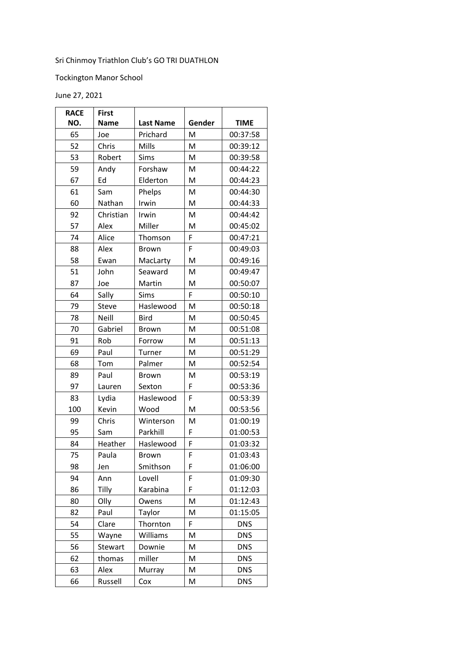## Sri Chinmoy Triathlon Club's GO TRI DUATHLON

## Tockington Manor School

June 27, 2021

| <b>RACE</b> | <b>First</b> |                  |        |             |
|-------------|--------------|------------------|--------|-------------|
| NO.         | <b>Name</b>  | <b>Last Name</b> | Gender | <b>TIME</b> |
| 65          | Joe          | Prichard         | M      | 00:37:58    |
| 52          | Chris        | Mills            | M      | 00:39:12    |
| 53          | Robert       | Sims             | M      | 00:39:58    |
| 59          | Andy         | Forshaw          | M      | 00:44:22    |
| 67          | Ed           | Elderton         | M      | 00:44:23    |
| 61          | Sam          | Phelps           | M      | 00:44:30    |
| 60          | Nathan       | Irwin            | M      | 00:44:33    |
| 92          | Christian    | Irwin            | M      | 00:44:42    |
| 57          | Alex         | Miller           | M      | 00:45:02    |
| 74          | Alice        | Thomson          | F      | 00:47:21    |
| 88          | Alex         | <b>Brown</b>     | F      | 00:49:03    |
| 58          | Ewan         | MacLarty         | M      | 00:49:16    |
| 51          | John         | Seaward          | M      | 00:49:47    |
| 87          | Joe          | Martin           | M      | 00:50:07    |
| 64          | Sally        | Sims             | F      | 00:50:10    |
| 79          | Steve        | Haslewood        | M      | 00:50:18    |
| 78          | <b>Neill</b> | <b>Bird</b>      | M      | 00:50:45    |
| 70          | Gabriel      | <b>Brown</b>     | M      | 00:51:08    |
| 91          | Rob          | Forrow           | M      | 00:51:13    |
| 69          | Paul         | Turner           | M      | 00:51:29    |
| 68          | Tom          | Palmer           | M      | 00:52:54    |
| 89          | Paul         | <b>Brown</b>     | M      | 00:53:19    |
| 97          | Lauren       | Sexton           | F      | 00:53:36    |
| 83          | Lydia        | Haslewood        | F      | 00:53:39    |
| 100         | Kevin        | Wood             | M      | 00:53:56    |
| 99          | Chris        | Winterson        | M      | 01:00:19    |
| 95          | Sam          | Parkhill         | F      | 01:00:53    |
| 84          | Heather      | Haslewood        | F      | 01:03:32    |
| 75          | Paula        | Brown            | F      | 01:03:43    |
| 98          | Jen          | Smithson         | F      | 01:06:00    |
| 94          | Ann          | Lovell           | F      | 01:09:30    |
| 86          | Tilly        | Karabina         | F      | 01:12:03    |
| 80          | Olly         | Owens            | M      | 01:12:43    |
| 82          | Paul         | Taylor           | M      | 01:15:05    |
| 54          | Clare        | Thornton         | F      | <b>DNS</b>  |
| 55          | Wayne        | Williams         | M      | <b>DNS</b>  |
| 56          | Stewart      | Downie           | M      | <b>DNS</b>  |
| 62          | thomas       | miller           | M      | <b>DNS</b>  |
| 63          | Alex         | Murray           | M      | <b>DNS</b>  |
| 66          | Russell      | Cox              | M      | <b>DNS</b>  |